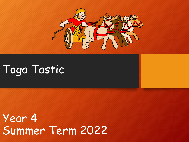

## Toga Tastic

Year 4 Summer Term 2022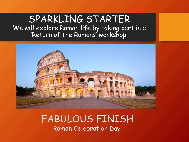#### SPARKLING STARTER We will explore Roman life by taking part in a 'Return of the Romans' workshop.



#### FABULOUS FINISH Roman Celebration Day!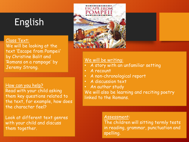### English

#### Class Text:

We will be looking at the text 'Escape from Pompeii' by Christine Balit and 'Romans on a rampage' by Jeremy Strong.

How can you help? Read with your child asking them key questions related to the text, for example, how does the character feel?

Look at different text genres with your child and discuss them together.



#### We will be writing:

- A story with an unfamiliar setting
- A recount
- A non-chronological report
- A discussion text
- An author study

We will also be learning and reciting poetry linked to the Romans.

#### Assessment:

The children will sitting termly tests in reading, grammar, punctuation and spelling.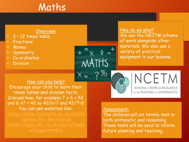### Maths

#### Overview:

- 2 12 times table
- **Fractions**
- **Money**
- **Symmetry**
- Co ordinates
- **Division**

How can you help? Encourage your child to learn their times tables and division facts. Discuss how, for example  $7 \times 6 = 42$ and  $6 \times 7 = 42$  so  $42/6=7$  and  $42/7=6$ You can use websites like:

How do we plan? We use the NECTM scheme of work alongside other materials. We also use a variety of practical equipment in our lessons.

> NCETM NATIONAL CENTRE FOR EXCELLENCE IN THE TEACHING OF MATHEMATICS

#### Assessment:

MATHS

 $X =$ 

The children will sit termly test in both arithmetic and reasoning. These tests will be used to inform future planning and teaching.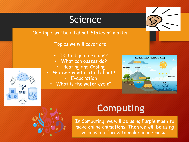#### **Science**

Our topic will be all about States of matter.

Topics we will cover are:

- Is it a liquid or a gas?
- What can gasses do?
	- Heating and Cooling
- Water what is it all about?
	- Evaporation
	- What is the water cycle?





### **Computing**

In Computing, we will be using Purple mash to make online animations. Then we will be using various platforms to make online music.

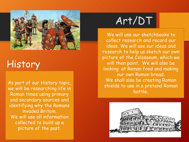

### History

As part of our History topic, we will be researching life in Roman times using primary and secondary sources and identifying why the Romans invaded Britain. We will use all information collected to build up a picture of the past.

### Art/DT

We will use our sketchbooks to collect research and record our ideas. We will use our ideas and research to help us sketch our own picture of the Colosseum, which we will then paint. We will also be looking at Roman food and making our own Roman bread. We shall also be creating Roman shields to use in a pretend Roman battle.

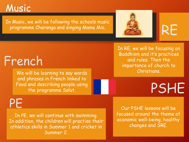### Music

In Music, we will be following the schools music programme Charanga and singing Mama Mia.



RE

## French

We will be learning to say words and phrases in French linked to Food and describing people using the programme Salut.

In RE, we will be focusing on Buddhism and it's practices and rules. Then the importance of church to Christians.

## PSHE

PE

In PE, we will continue with swimming. In addition, the children will practise their athletics skills in Summer 1 and cricket in Summer 2.

Our PSHE lessons will be focused around the theme of economic well-being, healthy changes and SRE.